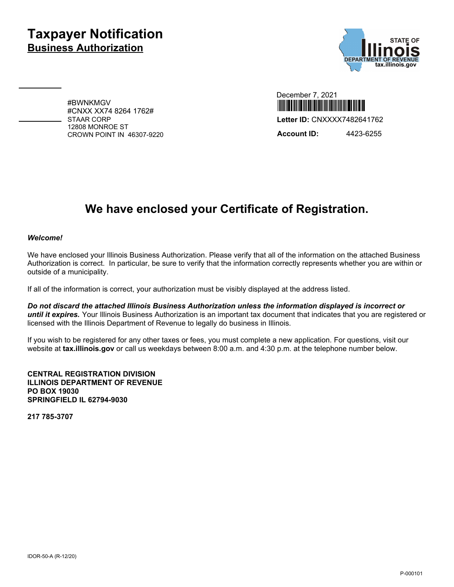## **Taxpayer Notification Business Authorization**



#BWNKMGV #CNXX XX74 8264 1762# STAAR CORP 12808 MONROE ST CROWN POINT IN 46307-9220

| December 7, 2021                                           |
|------------------------------------------------------------|
| <u>i me alijih ini ki jelih nije nijih nijih nije njih</u> |
| Letter ID: CNXXXX7482641762                                |
| <b>Account ID:</b><br>4423-6255                            |

# **We have enclosed your Certificate of Registration.**

#### *Welcome!*

We have enclosed your Illinois Business Authorization. Please verify that all of the information on the attached Business Authorization is correct. In particular, be sure to verify that the information correctly represents whether you are within or outside of a municipality.

If all of the information is correct, your authorization must be visibly displayed at the address listed.

*Do not discard the attached Illinois Business Authorization unless the information displayed is incorrect or until it expires.* Your Illinois Business Authorization is an important tax document that indicates that you are registered or licensed with the Illinois Department of Revenue to legally do business in Illinois.

If you wish to be registered for any other taxes or fees, you must complete a new application. For questions, visit our website at **tax.illinois.gov** or call us weekdays between 8:00 a.m. and 4:30 p.m. at the telephone number below.

**CENTRAL REGISTRATION DIVISION ILLINOIS DEPARTMENT OF REVENUE PO BOX 19030 SPRINGFIELD IL 62794-9030**

**217 785-3707**